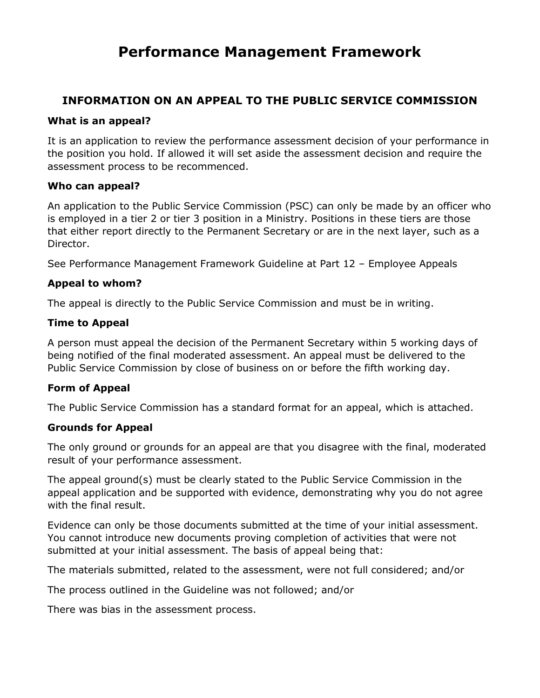# **Performance Management Framework**

# **INFORMATION ON AN APPEAL TO THE PUBLIC SERVICE COMMISSION**

#### **What is an appeal?**

It is an application to review the performance assessment decision of your performance in the position you hold. If allowed it will set aside the assessment decision and require the assessment process to be recommenced.

#### **Who can appeal?**

An application to the Public Service Commission (PSC) can only be made by an officer who is employed in a tier 2 or tier 3 position in a Ministry. Positions in these tiers are those that either report directly to the Permanent Secretary or are in the next layer, such as a Director.

See Performance Management Framework Guideline at Part 12 – Employee Appeals

#### **Appeal to whom?**

The appeal is directly to the Public Service Commission and must be in writing.

#### **Time to Appeal**

A person must appeal the decision of the Permanent Secretary within 5 working days of being notified of the final moderated assessment. An appeal must be delivered to the Public Service Commission by close of business on or before the fifth working day.

#### **Form of Appeal**

The Public Service Commission has a standard format for an appeal, which is attached.

#### **Grounds for Appeal**

The only ground or grounds for an appeal are that you disagree with the final, moderated result of your performance assessment.

The appeal ground(s) must be clearly stated to the Public Service Commission in the appeal application and be supported with evidence, demonstrating why you do not agree with the final result.

Evidence can only be those documents submitted at the time of your initial assessment. You cannot introduce new documents proving completion of activities that were not submitted at your initial assessment. The basis of appeal being that:

The materials submitted, related to the assessment, were not full considered; and/or

The process outlined in the Guideline was not followed; and/or

There was bias in the assessment process.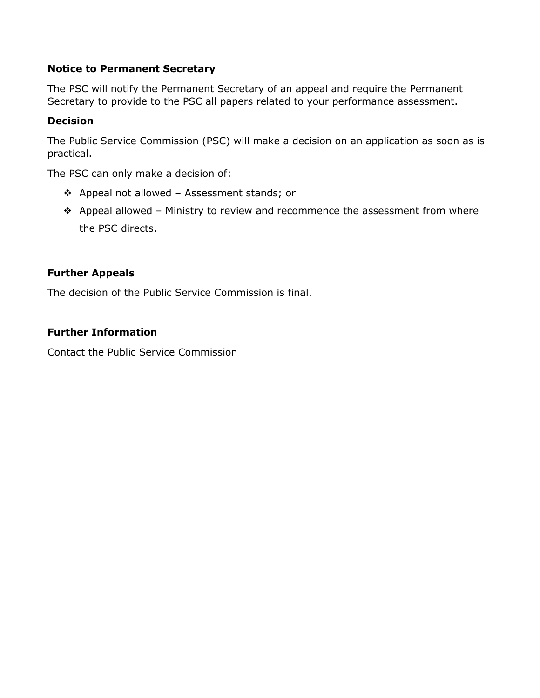# **Notice to Permanent Secretary**

The PSC will notify the Permanent Secretary of an appeal and require the Permanent Secretary to provide to the PSC all papers related to your performance assessment.

# **Decision**

The Public Service Commission (PSC) will make a decision on an application as soon as is practical.

The PSC can only make a decision of:

- Appeal not allowed Assessment stands; or
- $\triangle$  Appeal allowed Ministry to review and recommence the assessment from where the PSC directs.

## **Further Appeals**

The decision of the Public Service Commission is final.

## **Further Information**

Contact the Public Service Commission